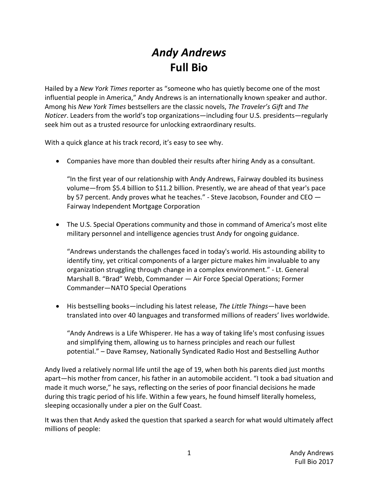# *Andy Andrews* **Full Bio**

Hailed by a *New York Times* reporter as "someone who has quietly become one of the most influential people in America," Andy Andrews is an internationally known speaker and author. Among his *New York Times* bestsellers are the classic novels, *The Traveler's Gift* and *The Noticer*. Leaders from the world's top organizations—including four U.S. presidents—regularly seek him out as a trusted resource for unlocking extraordinary results.

With a quick glance at his track record, it's easy to see why.

• Companies have more than doubled their results after hiring Andy as a consultant.

"In the first year of our relationship with Andy Andrews, Fairway doubled its business volume—from \$5.4 billion to \$11.2 billion. Presently, we are ahead of that year's pace by 57 percent. Andy proves what he teaches." - Steve Jacobson, Founder and CEO  $-$ Fairway Independent Mortgage Corporation

• The U.S. Special Operations community and those in command of America's most elite military personnel and intelligence agencies trust Andy for ongoing guidance.

"Andrews understands the challenges faced in today's world. His astounding ability to identify tiny, yet critical components of a larger picture makes him invaluable to any organization struggling through change in a complex environment." - Lt. General Marshall B. "Brad" Webb, Commander - Air Force Special Operations; Former Commander—NATO Special Operations

• His bestselling books—including his latest release, *The Little Things*—have been translated into over 40 languages and transformed millions of readers' lives worldwide.

"Andy Andrews is a Life Whisperer. He has a way of taking life's most confusing issues and simplifying them, allowing us to harness principles and reach our fullest potential." – Dave Ramsey, Nationally Syndicated Radio Host and Bestselling Author

Andy lived a relatively normal life until the age of 19, when both his parents died just months apart—his mother from cancer, his father in an automobile accident. "I took a bad situation and made it much worse," he says, reflecting on the series of poor financial decisions he made during this tragic period of his life. Within a few years, he found himself literally homeless, sleeping occasionally under a pier on the Gulf Coast.

It was then that Andy asked the question that sparked a search for what would ultimately affect millions of people: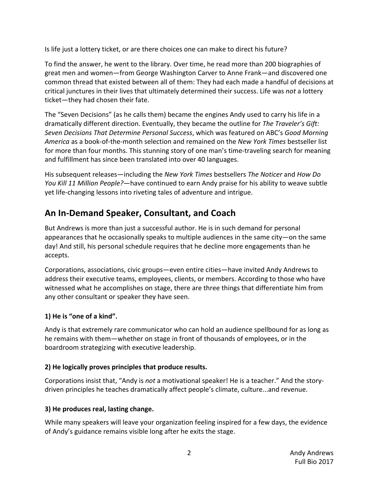Is life just a lottery ticket, or are there choices one can make to direct his future?

To find the answer, he went to the library. Over time, he read more than 200 biographies of great men and women—from George Washington Carver to Anne Frank—and discovered one common thread that existed between all of them: They had each made a handful of decisions at critical junctures in their lives that ultimately determined their success. Life was *not* a lottery ticket-they had chosen their fate.

The "Seven Decisions" (as he calls them) became the engines Andy used to carry his life in a dramatically different direction. Eventually, they became the outline for *The Traveler's Gift: Seven Decisions That Determine Personal Success*, which was featured on ABC's *Good Morning* America as a book-of-the-month selection and remained on the *New York Times* bestseller list for more than four months. This stunning story of one man's time-traveling search for meaning and fulfillment has since been translated into over 40 languages.

His subsequent releases—including the *New York Times* bestsellers *The Noticer* and *How Do You Kill 11 Million People?*—have continued to earn Andy praise for his ability to weave subtle yet life-changing lessons into riveting tales of adventure and intrigue.

## **An In-Demand Speaker, Consultant, and Coach**

But Andrews is more than just a successful author. He is in such demand for personal appearances that he occasionally speaks to multiple audiences in the same city—on the same day! And still, his personal schedule requires that he decline more engagements than he accepts.

Corporations, associations, civic groups—even entire cities—have invited Andy Andrews to address their executive teams, employees, clients, or members. According to those who have witnessed what he accomplishes on stage, there are three things that differentiate him from any other consultant or speaker they have seen.

#### **1) He is "one of a kind".**

Andy is that extremely rare communicator who can hold an audience spellbound for as long as he remains with them—whether on stage in front of thousands of employees, or in the boardroom strategizing with executive leadership.

#### **2)** He logically proves principles that produce results.

Corporations insist that, "Andy is *not* a motivational speaker! He is a teacher." And the storydriven principles he teaches dramatically affect people's climate, culture...and revenue.

### **3)** He produces real, lasting change.

While many speakers will leave your organization feeling inspired for a few days, the evidence of Andy's guidance remains visible long after he exits the stage.